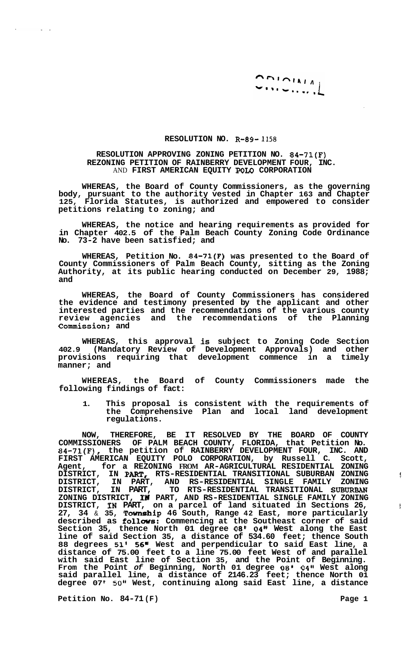$\begin{array}{c}\n\bigcap_{i} \bigcap_{i} \bigcup_{i} \bigcup_{i} \bigcup_{i} \bigcap_{i} \bigcap_{i} \bigcap_{i} \bigcap_{i} \bigcap_{i} \bigcap_{i} \bigcap_{i} \bigcap_{i} \bigcap_{i} \bigcap_{i} \bigcap_{i} \bigcap_{i} \bigcap_{i} \bigcap_{i} \bigcap_{i} \bigcap_{i} \bigcap_{i} \bigcap_{i} \bigcap_{i} \bigcap_{i} \bigcap_{i} \bigcap_{i} \bigcap_{i} \bigcap_{i} \bigcap_{i} \bigcap_{i} \bigcap_{i} \bigcap_{i} \bigcap_{i} \bigcap_{i} \big$  $\left[\cdot,\cdot,\cdot,\cdot,\cdot\right]$ 

## **RESOLUTION NO. R-89- 1158**

## **RESOLUTION APPROVING ZONING PETITION NO. 84-71(F) REZONING PETITION OF RAINBERRY DEVELOPMENT FOUR, INC.**  AND **FIRST AMERICAN EQUITY POLO CORPORATION**

**WHEREAS, the Board of County Commissioners, as the governing body, pursuant to the authority vested in Chapter 163 and Chapter 125, Florida Statutes, is authorized and empowered to consider petitions relating to zoning; and** 

**WHEREAS, the notice and hearing requirements as provided for in Chapter 402.5 of the Palm Beach County Zoning Code Ordinance No. 73-2 have been satisfied; and** 

**WHEREAS, Petition No. 84-71(F) was presented to the Board of County Commissioners of Palm Beach County, sitting as the Zoning Authority, at its public hearing conducted on December 29, 1988; and** 

**WHEREAS, the Board of County Commissioners has considered the evidence and testimony presented by the applicant and other interested parties and the recommendations of the various county review agencies and the recommendations of the Planning Commission; and** 

**WHEREAS, this approval is subject to Zoning Code Section 402.9 (Mandatory Review of Development Approvals) and other provisions requiring that development commence in a timely manner; and** 

**WHEREAS, the Board of County Commissioners made the following findings of fact:** 

**1. This proposal is consistent with the requirements of the Comprehensive Plan and local land development regulations.** 

**NOW, THEREFORE, BE IT RESOLVED BY THE BOARD OF COUNTY COMMISSIONERS OF PALM BEACH COUNTY, FLORIDA, that Petition No. 84-71(F), the petition of RAINBERRY DEVELOPMENT FOUR, INC. AND FIRST AMERICAN EQUITY POLO CORPORATION, by Russell C. Scott, Agent, for a REZONING FROM AR-AGRICULTURAL RESIDENTIAL ZONING DISTRICT, IN PAWT, RTS-RESIDENTIAL TRANSITIONAL SUBURBAN ZONING** f , **DISTRICT, IN PART, AND RS-RESIDENTIAL SINGLE FAMILY ZONING DISTRICT, IN PART, TO RTS-RESIDENTIAL TRANSITIONAL SUBURBAN ZONING DISTRICT, IH PART, AND RS-RESIDENTIAL SINGLE FAMILY ZONING DISTRICT, IN PART, on a parcel of land situated in Sections 26,** <sup>1</sup> **27, 34** & **35, Township 46 South, Range 42 East, more particularly described as follws: Commencing at the Southeast corner of said Section 35, thence North 01 degree** *08'* **04" West along the East line of said Section 35, a distance of 534.60 feet; thence South 88 degrees 51'** *56"* **West and perpendicular to said East line, a distance of 75.00 feet to a line 75.00 feet West of and parallel with said East line of Section 35, and the Point of Beginning. From the Point** *of* **Beginning, North 01 degree** *08'* **04" West along said parallel line, a distance of 2146.23 feet; thence North 01 degree 07** *50"* **West, continuing along said East line, a distance** 

Petition No. 84-71 (F) 2008 2012 12:20 2012 12:20 2012 12:20 2012 12:20 2012 12:20 2012 12:20 2012 12:20 2012 12:20 2012 12:20 2012 12:20 2012 12:20 2012 12:20 2012 12:20 2012 12:20 2012 12:20 2012 12:20 2012 12:20 2012 12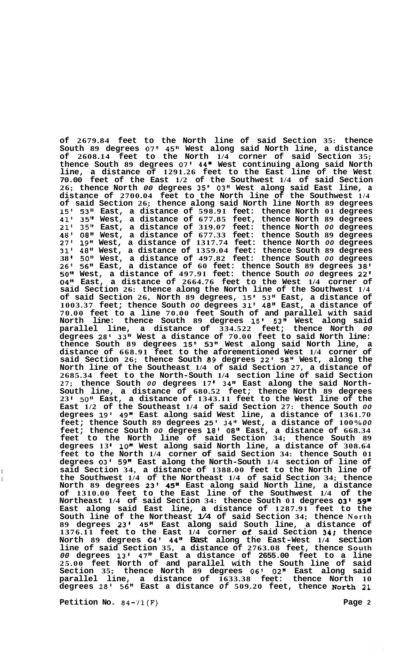**of 2679.84 feet to the North line of said Section 35: thence South 89 degrees 07' 45'' West along said North line, a distance of 2608.14 feet to the North 1/4 corner of said Section 35; thence South 89 degrees 07' 44" West continuing along said North line, a distance of 1291.26 feet to the East line of the West 70.00 feet of the East 1/2 of the Southwest 1/4 of said Section 26; thence North** *00* **degrees 35' 03" West along said East line, a distance of 2700.04 feet to the North line of the Southwest 1/4 of said Section 26; thence along said North line North 89 degrees 15' 53" East, a distance of 598.91 feet: thence North 01 degrees 41' 35" West, a distance of 677.85 feet, thence North 89 degrees 21' 35" East, a distance of 319.07 feet: thence North** *00* **degrees 48' 08" West, a distance of 677.33 feet: thence South 89 degrees 27' 19" West, a distance of 1317.74 feet: thence North** *00* **degrees 31' 48" West, a distance of 1359.04 feet: thence South 89 degrees 38 50'' West, a distance of 497.82 feet: thence South** *00* **degrees 26' 56'' East, a distance of 60 feet: thence South 89 degrees 38' 50" West, a distance of 497.91 feet: thence South** *00* **degrees 22' 04" East, a distance of 2664.76 feet to the West 1/4 corner of said Section 26: thence along the North line of the Southwest 1/4 of said Section 26, North 89 degrees, 15' 53" East, a distance of 1003.37 feet; thence South** *00* **degrees 31' 48'' East, a distance of 70.00 feet to a line 70.00 feet South of and parallel with said North line: thence South 89 degrees 15' 53" West along said parallel line, a distance of 334.522 feet; thence North** *00*  **degrees 28' 33" West a distance of 70.00 feet to said North line: thence South 89 degrees 15' 53" West along said North line, a distance of 668.91 feet to the aforementioned West 1/4 corner of said Section 26; thence South 89 degrees 22' 58" West, along the North line of the Southeast 1/4 of said Section 27, a distance of 2685.34 feet to the North-South 1/4 section line of said Section 27; thence South** *00* **degrees 17 34" East along the said North- South line, a distance of 680.52 feet; thence North 89 degrees 23 I 50" East, a distance of 1343.11 feet to the West line of the East 1/2 of the Southeast 1/4 of said Section 27: thence South** *00*  **degrees 19' 49" East along said West line, a distance of 1361.70 feet; thence South 89 degrees 25' 34" West, a distance of 100%.** *00*  **feet; thence South** *00* **degrees 18'** *08"* **East, a distance of 668.34 feet to the North line of said Section 34; thence South 89 degrees 13 10" West along said North line, a distance of 308.64 feet to the North 1/4 corner of said Section 34: thence South 01 degrees 03' 59" East along the North-South 1/4 section of line of said Section 34, a distance of 1388.00 feet to the North line of the Southwest 1/4 of the Northeast 1/4 of said Section 34; thence North 89 degrees 23' 45n East along said North line, a distance of 1310.00 feet to the East line of the Southwest 1/4 of the Northeast 1/4 of said Section 34: thence South 01 degrees 03' 5gn East along said East line, a distance of 1287.91 feet to the South line of the Northeast 1/4 of said Section 34; thence North 89 degrees 23' 45" East along said South line, a distance of 1376.11 feet to the East 1/4 corner of. said Section 34: thence North 89 degrees 04' 44" Bast along the East-West 1/4 section line of said Section 35, a distance of 2763.08 feet, thence South**  *00* **degrees 13' 47'' East a distance of 2655.00 feet to a line 25.00 feet North of and parallel with the South line of said Section 35; thence North 89 degrees 06' 02" East along said parallel line, a distance of 1633.38 feet: thence North 10 degrees 28' 56" East a distance** *of* **509.20 feet, thence North 21** 

**Petition No. 84-71(F) Page 2** 

Ì